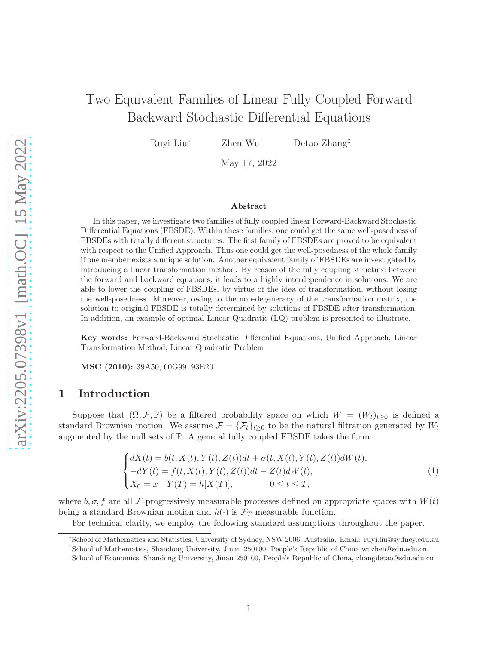# Two Equivalent Families of Linear Fully Coupled Forward Backward Stochastic Differential Equations

Ruyi Liu<sup>∗</sup> Zhen Wu† Detao Zhang‡

May 17, 2022

#### Abstract

In this paper, we investigate two families of fully coupled linear Forward-Backward Stochastic Differential Equations (FBSDE). Within these families, one could get the same well-posedness of FBSDEs with totally different structures. The first family of FBSDEs are proved to be equivalent with respect to the Unified Approach. Thus one could get the well-posedness of the whole family if one member exists a unique solution. Another equivalent family of FBSDEs are investigated by introducing a linear transformation method. By reason of the fully coupling structure between the forward and backward equations, it leads to a highly interdependence in solutions. We are able to lower the coupling of FBSDEs, by virtue of the idea of transformation, without losing the well-posedness. Moreover, owing to the non-degeneracy of the transformation matrix, the solution to original FBSDE is totally determined by solutions of FBSDE after transformation. In addition, an example of optimal Linear Quadratic (LQ) problem is presented to illustrate.

Key words: Forward-Backward Stochastic Differential Equations, Unified Approach, Linear Transformation Method, Linear Quadratic Problem

MSC (2010): 39A50, 60G99, 93E20

# 1 Introduction

Suppose that  $(\Omega, \mathcal{F}, \mathbb{P})$  be a filtered probability space on which  $W = (W_t)_{t\geq 0}$  is defined a standard Brownian motion. We assume  $\mathcal{F} = {\{\mathcal{F}_t\}}_{t\geq0}$  to be the natural filtration generated by  $W_t$ augmented by the null sets of  $\mathbb{P}$ . A general fully coupled FBSDE takes the form:

<span id="page-0-0"></span>
$$
\begin{cases}\ndX(t) = b(t, X(t), Y(t), Z(t))dt + \sigma(t, X(t), Y(t), Z(t))dW(t), \n-dY(t) = f(t, X(t), Y(t), Z(t))dt - Z(t)dW(t), \nX_0 = x \quad Y(T) = h[X(T)], \qquad 0 \le t \le T,\n\end{cases}
$$
\n(1)

where  $b, \sigma, f$  are all F-progressively measurable processes defined on appropriate spaces with  $W(t)$ being a standard Brownian motion and  $h(\cdot)$  is  $\mathcal{F}_T$ -measurable function.

For technical clarity, we employ the following standard assumptions throughout the paper.

† School of Mathematics, Shandong University, Jinan 250100, People's Republic of China wuzhen@sdu.edu.cn.

<sup>∗</sup> School of Mathematics and Statistics, University of Sydney, NSW 2006, Australia. Email: ruyi.liu@sydney.edu.au

<sup>‡</sup>School of Economics, Shandong University, Jinan 250100, People's Republic of China, zhangdetao@sdu.edu.cn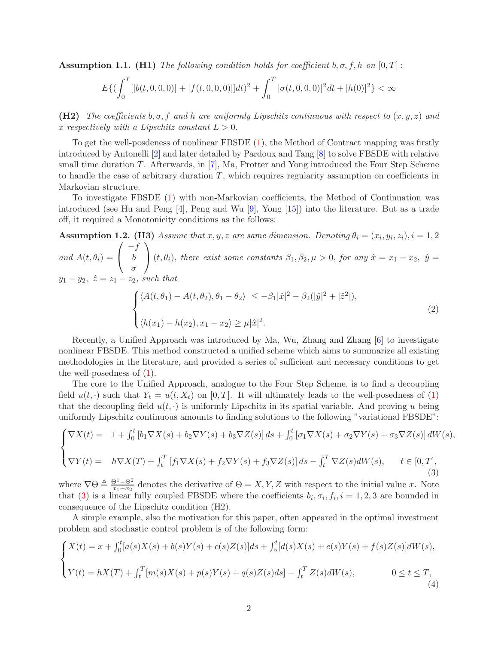**Assumption 1.1.** (H1) The following condition holds for coefficient  $b, \sigma, f, h$  on  $[0, T]$ :

$$
E\{(\int_0^T[|b(t,0,0,0)|+|f(t,0,0,0)|]dt)^2+\int_0^T|\sigma(t,0,0,0)|^2dt+|h(0)|^2\}<\infty
$$

(H2) The coefficients  $b, \sigma, f$  and h are uniformly Lipschitz continuous with respect to  $(x, y, z)$  and x respectively with a Lipschitz constant  $L > 0$ .

To get the well-posdeness of nonlinear FBSDE [\(1\)](#page-0-0), the Method of Contract mapping was firstly introduced by Antonelli [\[2\]](#page-16-0) and later detailed by Pardoux and Tang [\[8\]](#page-16-1) to solve FBSDE with relative small time duration T. Afterwards, in [\[7](#page-16-2)], Ma, Protter and Yong introduced the Four Step Scheme to handle the case of arbitrary duration  $T$ , which requires regularity assumption on coefficients in Markovian structure.

To investigate FBSDE [\(1\)](#page-0-0) with non-Markovian coefficients, the Method of Continuation was introduced (see Hu and Peng [\[4\]](#page-16-3), Peng and Wu [\[9](#page-16-4)], Yong [\[15](#page-17-0)]) into the literature. But as a trade off, it required a Monotonicity conditions as the follows:

**Assumption 1.2.** (H3) Assume that x, y, z are same dimension. Denoting  $\theta_i = (x_i, y_i, z_i), i = 1, 2$ and  $A(t, \theta_i) =$  $\sqrt{ }$  $\mathcal{L}$  $-f$ b σ  $\setminus$ (t,  $\theta_i$ ), there exist some constants  $\beta_1, \beta_2, \mu > 0$ , for any  $\hat{x} = x_1 - x_2$ ,  $\hat{y} =$  $y_1 - y_2$ ,  $\hat{z} = z_1 - z_2$ , such that  $\sqrt{ }$  $\int$  $\overline{\mathcal{L}}$  $\langle A(t, \theta_1) - A(t, \theta_2), \theta_1 - \theta_2 \rangle \leq -\beta_1 |\hat{x}|^2 - \beta_2 (|\hat{y}|^2 + |\hat{z}^2|),$  $\langle h(x_1) - h(x_2), x_1 - x_2 \rangle \ge \mu |\hat{x}|^2.$ (2)

Recently, a Unified Approach was introduced by Ma, Wu, Zhang and Zhang [\[6\]](#page-16-5) to investigate nonlinear FBSDE. This method constructed a unified scheme which aims to summarize all existing methodologies in the literature, and provided a series of sufficient and necessary conditions to get the well-posedness of  $(1)$ .

The core to the Unified Approach, analogue to the Four Step Scheme, is to find a decoupling field  $u(t, \cdot)$  such that  $Y_t = u(t, X_t)$  on [0, T]. It will ultimately leads to the well-posedness of [\(1\)](#page-0-0) that the decoupling field  $u(t, \cdot)$  is uniformly Lipschitz in its spatial variable. And proving u being uniformly Lipschitz continuous amounts to finding solutions to the following "variational FBSDE":

<span id="page-1-0"></span>
$$
\begin{cases}\n\nabla X(t) = 1 + \int_0^t \left[ b_1 \nabla X(s) + b_2 \nabla Y(s) + b_3 \nabla Z(s) \right] ds + \int_0^t \left[ \sigma_1 \nabla X(s) + \sigma_2 \nabla Y(s) + \sigma_3 \nabla Z(s) \right] dW(s), \\
\nabla Y(t) = h \nabla X(T) + \int_t^T \left[ f_1 \nabla X(s) + f_2 \nabla Y(s) + f_3 \nabla Z(s) \right] ds - \int_t^T \nabla Z(s) dW(s), \qquad t \in [0, T],\n\end{cases}
$$
\n(3)

where  $\nabla \Theta \triangleq \frac{\Theta^1 - \Theta^2}{x_1 - x_2}$  denotes the derivative of  $\Theta = X, Y, Z$  with respect to the initial value x. Note that [\(3\)](#page-1-0) is a linear fully coupled FBSDE where the coefficients  $b_i, \sigma_i, f_i, i = 1, 2, 3$  are bounded in consequence of the Lipschitz condition (H2).

A simple example, also the motivation for this paper, often appeared in the optimal investment problem and stochastic control problem is of the following form:

<span id="page-1-1"></span>
$$
\begin{cases} X(t) = x + \int_0^t [a(s)X(s) + b(s)Y(s) + c(s)Z(s)]ds + \int_0^t [d(s)X(s) + e(s)Y(s) + f(s)Z(s)]dW(s), \\ Y(t) = hX(T) + \int_t^T [m(s)X(s) + p(s)Y(s) + q(s)Z(s)ds] - \int_t^T Z(s)dW(s), \qquad 0 \le t \le T, \end{cases}
$$
\n(4)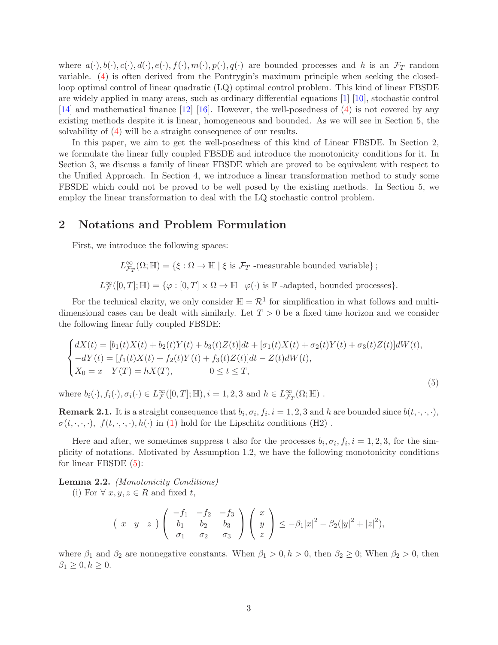where  $a(\cdot), b(\cdot), c(\cdot), d(\cdot), e(\cdot), f(\cdot), m(\cdot), p(\cdot), q(\cdot)$  are bounded processes and h is an  $\mathcal{F}_T$  random variable. [\(4\)](#page-1-1) is often derived from the Pontrygin's maximum principle when seeking the closedloop optimal control of linear quadratic (LQ) optimal control problem. This kind of linear FBSDE are widely applied in many areas, such as ordinary differential equations [\[1\]](#page-16-6) [\[10](#page-16-7)], stochastic control [\[14\]](#page-17-1) and mathematical finance [\[12](#page-17-2)] [\[16](#page-17-3)]. However, the well-posedness of [\(4\)](#page-1-1) is not covered by any existing methods despite it is linear, homogeneous and bounded. As we will see in Section 5, the solvability of [\(4\)](#page-1-1) will be a straight consequence of our results.

In this paper, we aim to get the well-posedness of this kind of Linear FBSDE. In Section 2, we formulate the linear fully coupled FBSDE and introduce the monotonicity conditions for it. In Section 3, we discuss a family of linear FBSDE which are proved to be equivalent with respect to the Unified Approach. In Section 4, we introduce a linear transformation method to study some FBSDE which could not be proved to be well posed by the existing methods. In Section 5, we employ the linear transformation to deal with the LQ stochastic control problem.

### 2 Notations and Problem Formulation

First, we introduce the following spaces:

 $L^{\infty}_{\mathcal{F}_T}(\Omega;\mathbb{H}) = \{\xi : \Omega \to \mathbb{H} \mid \xi \text{ is } \mathcal{F}_T \text{ -measurable bounded variable}\}\; ;$ 

 $L^{\infty}_{\mathcal{F}}([0,T];\mathbb{H}) = \{\varphi: [0,T] \times \Omega \to \mathbb{H} \mid \varphi(\cdot) \text{ is } \mathbb{F} \text{ -adapted, bounded processes}\}.$ 

For the technical clarity, we only consider  $\mathbb{H} = \mathcal{R}^1$  for simplification in what follows and multidimensional cases can be dealt with similarly. Let  $T > 0$  be a fixed time horizon and we consider the following linear fully coupled FBSDE:

<span id="page-2-0"></span>
$$
\begin{cases}\n dX(t) = [b_1(t)X(t) + b_2(t)Y(t) + b_3(t)Z(t)]dt + [\sigma_1(t)X(t) + \sigma_2(t)Y(t) + \sigma_3(t)Z(t)]dW(t), \\
 -dY(t) = [f_1(t)X(t) + f_2(t)Y(t) + f_3(t)Z(t)]dt - Z(t)dW(t), \\
 X_0 = x \quad Y(T) = hX(T), \qquad 0 \le t \le T,\n\end{cases}
$$

(5)

where  $b_i(\cdot), f_i(\cdot), \sigma_i(\cdot) \in L^{\infty}_{\mathcal{F}}([0,T]; \mathbb{H}), i = 1, 2, 3$  and  $h \in L^{\infty}_{\mathcal{F}_T}(\Omega; \mathbb{H})$ .

**Remark 2.1.** It is a straight consequence that  $b_i, \sigma_i, f_i, i = 1, 2, 3$  and h are bounded since  $b(t, \cdot, \cdot, \cdot)$ ,  $\sigma(t, \cdot, \cdot, \cdot), f(t, \cdot, \cdot, \cdot), h(\cdot)$  in [\(1\)](#page-0-0) hold for the Lipschitz conditions (H2).

Here and after, we sometimes suppress t also for the processes  $b_i, \sigma_i, f_i, i = 1, 2, 3$ , for the simplicity of notations. Motivated by Assumption 1.2, we have the following monotonicity conditions for linear FBSDE [\(5\)](#page-2-0):

Lemma 2.2. (Monotonicity Conditions)

(i) For  $\forall x, y, z \in R$  and fixed t,

$$
(x \quad y \quad z)
$$
 $\begin{pmatrix} -f_1 & -f_2 & -f_3 \\ b_1 & b_2 & b_3 \\ \sigma_1 & \sigma_2 & \sigma_3 \end{pmatrix}$  $\begin{pmatrix} x \\ y \\ z \end{pmatrix} \leq -\beta_1 |x|^2 - \beta_2 (|y|^2 + |z|^2),$ 

where  $\beta_1$  and  $\beta_2$  are nonnegative constants. When  $\beta_1 > 0, h > 0$ , then  $\beta_2 \geq 0$ ; When  $\beta_2 > 0$ , then  $\beta_1 \geq 0, h \geq 0.$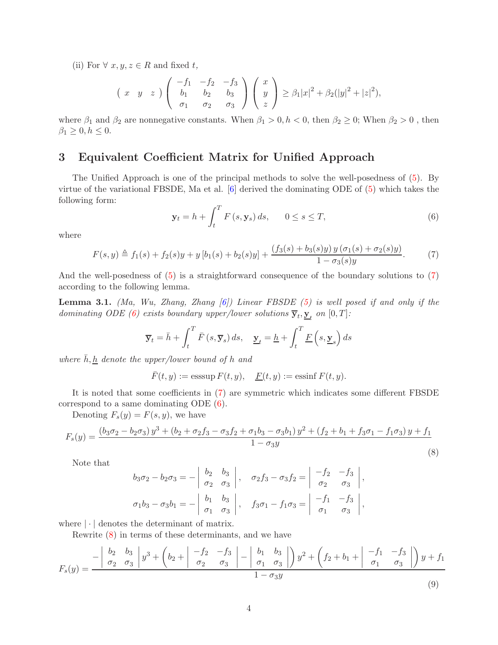(ii) For  $\forall x, y, z \in R$  and fixed t,

$$
(x \quad y \quad z)
$$
 $\begin{pmatrix} -f_1 & -f_2 & -f_3 \\ b_1 & b_2 & b_3 \\ \sigma_1 & \sigma_2 & \sigma_3 \end{pmatrix}$  $\begin{pmatrix} x \\ y \\ z \end{pmatrix} \ge \beta_1 |x|^2 + \beta_2 (|y|^2 + |z|^2),$ 

where  $\beta_1$  and  $\beta_2$  are nonnegative constants. When  $\beta_1 > 0, h < 0$ , then  $\beta_2 \ge 0$ ; When  $\beta_2 > 0$ , then  $\beta_1 \geq 0, h \leq 0.$ 

## 3 Equivalent Coefficient Matrix for Unified Approach

The Unified Approach is one of the principal methods to solve the well-posedness of [\(5\)](#page-2-0). By virtue of the variational FBSDE, Ma et al. [\[6](#page-16-5)] derived the dominating ODE of [\(5\)](#page-2-0) which takes the following form:

<span id="page-3-1"></span>
$$
\mathbf{y}_t = h + \int_t^T F\left(s, \mathbf{y}_s\right) ds, \qquad 0 \le s \le T,\tag{6}
$$

where

<span id="page-3-0"></span>
$$
F(s,y) \triangleq f_1(s) + f_2(s)y + y [b_1(s) + b_2(s)y] + \frac{(f_3(s) + b_3(s)y) y (\sigma_1(s) + \sigma_2(s)y)}{1 - \sigma_3(s)y}.
$$
 (7)

And the well-posedness of  $(5)$  is a straightforward consequence of the boundary solutions to  $(7)$ according to the following lemma.

**Lemma 3.1.** (Ma, Wu, Zhang, Zhang  $[6]$ ) Linear FBSDE  $(5)$  is well posed if and only if the dominating ODE [\(6\)](#page-3-1) exists boundary upper/lower solutions  $\overline{\mathbf{y}}_t, \underline{\mathbf{y}}_t$  on  $[0,T]$ :

$$
\overline{\mathbf{y}}_t = \overline{h} + \int_t^T \overline{F}(s, \overline{\mathbf{y}}_s) ds, \quad \underline{\mathbf{y}}_t = \underline{h} + \int_t^T \underline{F}(s, \underline{\mathbf{y}}_s) ds
$$

where  $\bar{h}, \underline{h}$  denote the upper/lower bound of h and

 $\overline{F}(t, y) := \operatorname{esssup} F(t, y), \quad F(t, y) := \operatorname{essinf} F(t, y).$ 

It is noted that some coefficients in [\(7\)](#page-3-0) are symmetric which indicates some different FBSDE correspond to a same dominating ODE [\(6\)](#page-3-1).

Denoting  $F_s(y) = F(s, y)$ , we have

<span id="page-3-2"></span>
$$
F_s(y) = \frac{(b_3\sigma_2 - b_2\sigma_3)y^3 + (b_2 + \sigma_2f_3 - \sigma_3f_2 + \sigma_1b_3 - \sigma_3b_1)y^2 + (f_2 + b_1 + f_3\sigma_1 - f_1\sigma_3)y + f_1}{1 - \sigma_3y}
$$
\n(8)

Note that

$$
b_3 \sigma_2 - b_2 \sigma_3 = - \begin{vmatrix} b_2 & b_3 \\ \sigma_2 & \sigma_3 \end{vmatrix}, \quad \sigma_2 f_3 - \sigma_3 f_2 = \begin{vmatrix} -f_2 & -f_3 \\ \sigma_2 & \sigma_3 \end{vmatrix},
$$
  

$$
\sigma_1 b_3 - \sigma_3 b_1 = - \begin{vmatrix} b_1 & b_3 \\ \sigma_1 & \sigma_3 \end{vmatrix}, \quad f_3 \sigma_1 - f_1 \sigma_3 = \begin{vmatrix} -f_1 & -f_3 \\ \sigma_1 & \sigma_3 \end{vmatrix},
$$

where  $\lvert \cdot \rvert$  denotes the determinant of matrix.

Rewrite [\(8\)](#page-3-2) in terms of these determinants, and we have

<span id="page-3-3"></span>
$$
F_s(y) = \frac{-\begin{vmatrix} b_2 & b_3 \\ \sigma_2 & \sigma_3 \end{vmatrix} y^3 + \begin{vmatrix} b_2 + \begin{vmatrix} -f_2 & -f_3 \\ \sigma_2 & \sigma_3 \end{vmatrix} - \begin{vmatrix} b_1 & b_3 \\ \sigma_1 & \sigma_3 \end{vmatrix} y^2 + \begin{vmatrix} f_2 + b_1 + \begin{vmatrix} -f_1 & -f_3 \\ \sigma_1 & \sigma_3 \end{vmatrix} y + f_1}{1 - \sigma_3 y}
$$
(9)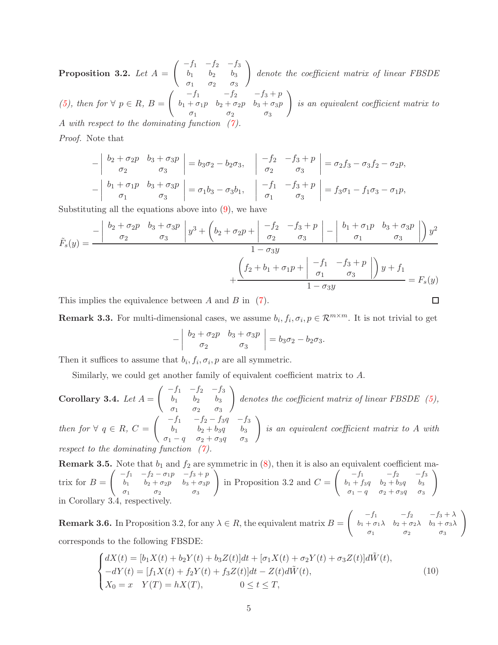Proposition 3.2. Let  $A =$  $\int -f_1 -f_2 -f_3$  $b_1$   $b_2$   $b_3$  $\sigma_1$   $\sigma_2$   $\sigma_3$  $\setminus$ denote the coefficient matrix of linear FBSDE [\(5\)](#page-2-0), then for  $\forall p \in R$ ,  $B =$  $\int f_1 -f_2 -f_3 + p$  $b_1 + \sigma_1 p \quad b_2 + \sigma_2 p \quad b_3 + \sigma_3 p$  $\sigma_1$   $\sigma_2$   $\sigma_3$  $\setminus$ is an equivalent coefficient matrix to A with respect to the dominating function

Proof. Note that

$$
\begin{vmatrix} b_2 + \sigma_2 p & b_3 + \sigma_3 p \\ \sigma_2 & \sigma_3 \end{vmatrix} = b_3 \sigma_2 - b_2 \sigma_3, \quad \begin{vmatrix} -f_2 & -f_3 + p \\ \sigma_2 & \sigma_3 \end{vmatrix} = \sigma_2 f_3 - \sigma_3 f_2 - \sigma_2 p,
$$
  

$$
-\begin{vmatrix} b_1 + \sigma_1 p & b_3 + \sigma_3 p \\ \sigma_1 & \sigma_3 \end{vmatrix} = \sigma_1 b_3 - \sigma_3 b_1, \quad \begin{vmatrix} -f_1 & -f_3 + p \\ \sigma_1 & \sigma_3 \end{vmatrix} = f_3 \sigma_1 - f_1 \sigma_3 - \sigma_1 p,
$$

Substituting all the equations above into  $(9)$ , we have

$$
\tilde{F}_s(y) = \frac{-\begin{vmatrix} b_2 + \sigma_2 p & b_3 + \sigma_3 p \\ \sigma_2 & \sigma_3 \end{vmatrix} y^3 + \begin{vmatrix} b_2 + \sigma_2 p + \sigma_2 p + \sigma_2 p + \sigma_2 p + \sigma_2 p + \sigma_2 p + \sigma_2 p + \sigma_2 p + \sigma_2 p + \sigma_2 p + \sigma_2 p + \sigma_2 p + \sigma_2 p + \sigma_2 p + \sigma_2 p + \sigma_2 p + \sigma_2 p + \sigma_2 p + \sigma_2 p + \sigma_2 p + \sigma_2 p + \sigma_2 p + \sigma_2 p + \sigma_2 p + \sigma_2 p + \sigma_2 p + \sigma_2 p + \sigma_2 p + \sigma_2 p + \sigma_2 p + \sigma_2 p + \sigma_2 p + \sigma_2 p + \sigma_2 p + \sigma_2 p + \sigma_2 p + \sigma_2 p + \sigma_2 p + \sigma_2 p + \sigma_2 p + \sigma_2 p + \sigma_2 p + \sigma_2 p + \sigma_2 p + \sigma_2 p + \sigma_2 p + \sigma_2 p + \sigma_2 p + \sigma_2 p + \sigma_2 p + \sigma_2 p + \sigma_2 p + \sigma_2 p + \sigma_2 p + \sigma_2 p + \sigma_2 p + \sigma_2 p + \sigma_2 p + \sigma_2 p + \sigma_2 p + \sigma_2 p + \sigma_2 p + \sigma_2 p + \sigma_2 p + \sigma_2 p + \sigma_2 p + \sigma_2 p + \sigma_2 p + \sigma_2 p + \sigma_2 p + \sigma_2 p + \sigma_2 p + \sigma_2 p + \sigma_2 p + \sigma_2 p + \sigma_2 p + \sigma_2 p + \sigma_2 p + \sigma_2 p + \sigma_2 p + \sigma_2 p + \sigma_2 p + \sigma_2 p + \sigma_2 p + \sigma_2 p + \sigma_2 p + \sigma_2 p + \sigma_2 p + \sigma_2 p + \sigma_2 p + \sigma_2 p + \sigma_2 p + \sigma_2 p + \sigma_2 p + \sigma_2 p + \sigma_2 p + \sigma_2 p + \sigma_2 p + \sigma_2 p + \sigma_2 p + \sigma_2 p + \sigma_2 p + \sigma_2 p + \sigma_2 p + \sigma_2 p + \sigma_2 p + \sigma_2 p + \sigma_2 p + \sigma_2 p + \sigma_2 p + \sigma_2 p + \sigma_2 p + \sigma_2 p + \sigma_2 p + \sigma_2
$$

This implies the equivalence between  $A$  and  $B$  in [\(7\)](#page-3-0).

**Remark 3.3.** For multi-dimensional cases, we assume  $b_i, f_i, \sigma_i, p \in \mathbb{R}^{m \times m}$ . It is not trivial to get

 $\Box$ 

$$
-\left|\begin{array}{cc} b_2+\sigma_2p & b_3+\sigma_3p \\ \sigma_2 & \sigma_3 \end{array}\right|=b_3\sigma_2-b_2\sigma_3.
$$

Then it suffices to assume that  $b_i, f_i, \sigma_i, p$  are all symmetric.

Similarly, we could get another family of equivalent coefficient matrix to A.

Corollary 3.4. Let  $A =$  $\int -f_1 -f_2 -f_3$  $b_1$   $b_2$   $b_3$  $\sigma_1$   $\sigma_2$   $\sigma_3$  $\setminus$ denotes the coefficient matrix of linear FBSDE  $(5)$ , then for  $\forall q \in R$ ,  $C =$  $\int -f_1 -f_2 - f_3 q -f_3$  $b_1$   $b_2 + b_3q$   $b_3$  $\sigma_1 - q$   $\sigma_2 + \sigma_3 q$   $\sigma_3$  $\setminus$ is an equivalent coefficient matrix to A with respect to the dominating function

**Remark 3.5.** Note that  $b_1$  and  $f_2$  are symmetric in  $(8)$ , then it is also an equivalent trix for  $B =$  $\int -f_1 -f_2 - \sigma_1 p -f_3 + p$  $b_1$   $b_2 + \sigma_2 p$   $b_3 + \sigma_3 p$  $\sigma_1$   $\sigma_2$   $\sigma_3$  $\setminus$ in Proposition 3.2 and  $C =$  $\int \begin{array}{c} -f_1 \\ -f_2 \\ -f_3 \end{array}$  $b_1 + f_3q$   $b_2 + b_3q$   $b_3$  $\sigma_1 - q \quad \sigma_2 + \sigma_3 q \quad \sigma_3$  $\setminus$ in Corollary 3.4, respectively.

**Remark 3.6.** In Proposition 3.2, for any  $\lambda \in R$ , the equivalent matrix  $B =$  $\begin{pmatrix} -f_1 & -f_2 & -f_3 + \lambda \end{pmatrix}$  $b_1 + \sigma_1 \lambda$   $b_2 + \sigma_2 \lambda$   $b_3 + \sigma_3 \lambda$  $\sigma_1$   $\sigma_2$   $\sigma_3$  $\setminus$ corresponds to the following FBSDE:

$$
\begin{cases}\ndX(t) = [b_1 X(t) + b_2 Y(t) + b_3 Z(t)]dt + [\sigma_1 X(t) + \sigma_2 Y(t) + \sigma_3 Z(t)]d\tilde{W}(t),\n-dY(t) = [f_1 X(t) + f_2 Y(t) + f_3 Z(t)]dt - Z(t)d\tilde{W}(t),\nX_0 = x Y(T) = hX(T), \n0 \le t \le T,\n\end{cases}
$$
\n(10)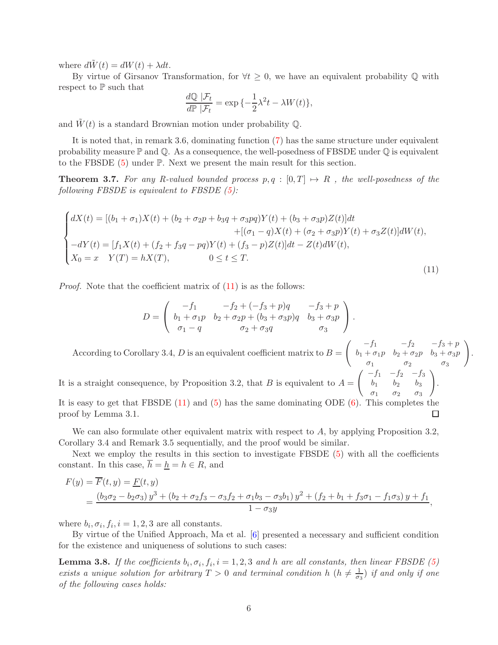where  $d\tilde{W}(t) = dW(t) + \lambda dt$ .

By virtue of Girsanov Transformation, for  $\forall t \geq 0$ , we have an equivalent probability  $\mathbb Q$  with respect to  $\mathbb P$  such that

$$
\frac{d\mathbb{Q} \,|\mathcal{F}_t}{d\mathbb{P} \,|\mathcal{F}_t} = \exp\{-\frac{1}{2}\lambda^2 t - \lambda W(t)\},\
$$

and  $\tilde{W}(t)$  is a standard Brownian motion under probability Q.

It is noted that, in remark 3.6, dominating function [\(7\)](#page-3-0) has the same structure under equivalent probability measure  $\mathbb P$  and  $\mathbb Q$ . As a consequence, the well-posedness of FBSDE under  $\mathbb Q$  is equivalent to the FBSDE [\(5\)](#page-2-0) under P. Next we present the main result for this section.

**Theorem 3.7.** For any R-valued bounded process  $p, q : [0, T] \rightarrow R$ , the well-posedness of the following FBSDE is equivalent to FBSDE  $(5)$ :

<span id="page-5-0"></span>
$$
\begin{cases}\ndX(t) = [(b_1 + \sigma_1)X(t) + (b_2 + \sigma_2p + b_3q + \sigma_3pq)Y(t) + (b_3 + \sigma_3p)Z(t)]dt \\
+ [(\sigma_1 - q)X(t) + (\sigma_2 + \sigma_3p)Y(t) + \sigma_3Z(t)]dW(t), \\
-dY(t) = [f_1X(t) + (f_2 + f_3q - pq)Y(t) + (f_3 - p)Z(t)]dt - Z(t)dW(t), \\
X_0 = x \quad Y(T) = hX(T), \qquad 0 \le t \le T.\n\end{cases} \tag{11}
$$

Proof. Note that the coefficient matrix of [\(11\)](#page-5-0) is as the follows:

$$
D = \begin{pmatrix} -f_1 & -f_2 + (-f_3 + p)q & -f_3 + p \\ b_1 + \sigma_1 p & b_2 + \sigma_2 p + (b_3 + \sigma_3 p)q & b_3 + \sigma_3 p \\ \sigma_1 - q & \sigma_2 + \sigma_3 q & \sigma_3 \end{pmatrix}.
$$
  
According to Corollary 3.4, *D* is an equivalent coefficient matrix to  $B = \begin{pmatrix} -f_1 & -f_2 & -f_3 + p \\ b_1 + \sigma_1 p & b_2 + \sigma_2 p & b_3 + \sigma_3 p \\ \sigma_1 & \sigma_2 & \sigma_3 \end{pmatrix}.$   
It is a straight consequence, by Proposition 3.2, that *B* is equivalent to  $A = \begin{pmatrix} -f_1 & -f_2 & -f_3 \\ b_1 & b_2 & b_3 \\ \sigma_1 & \sigma_2 & \sigma_3 \end{pmatrix}.$   
It is easy to get that FBSDE (11) and (5) has the same dominating ODE (6). This completes the proof by Lemma 3.1.

We can also formulate other equivalent matrix with respect to  $A$ , by applying Proposition 3.2, Corollary 3.4 and Remark 3.5 sequentially, and the proof would be similar.

Next we employ the results in this section to investigate FBSDE [\(5\)](#page-2-0) with all the coefficients constant. In this case,  $h = \underline{h} = h \in R$ , and

$$
F(y) = \overline{F}(t, y) = \underline{F}(t, y)
$$
  
= 
$$
\frac{(b_3\sigma_2 - b_2\sigma_3)y^3 + (b_2 + \sigma_2f_3 - \sigma_3f_2 + \sigma_1b_3 - \sigma_3b_1)y^2 + (f_2 + b_1 + f_3\sigma_1 - f_1\sigma_3)y + f_1}{1 - \sigma_3y},
$$

where  $b_i, \sigma_i, f_i, i = 1, 2, 3$  are all constants.

By virtue of the Unified Approach, Ma et al. [\[6](#page-16-5)] presented a necessary and sufficient condition for the existence and uniqueness of solutions to such cases:

**Lemma 3.8.** If the coefficients  $b_i, \sigma_i, f_i, i = 1, 2, 3$  and h are all constants, then linear FBSDE [\(5\)](#page-2-0) exists a unique solution for arbitrary  $T > 0$  and terminal condition h  $(h \neq \frac{1}{\sigma_3})$  if and only if one of the following cases holds: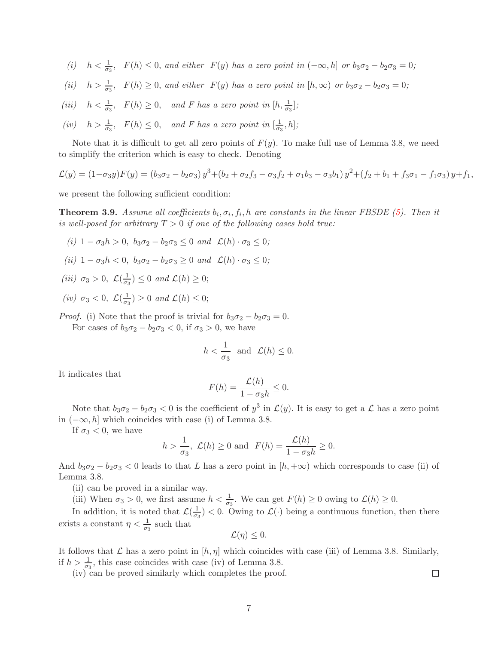- (i)  $h < \frac{1}{\sigma_3}$ ,  $F(h) \leq 0$ , and either  $F(y)$  has a zero point in  $(-\infty, h]$  or  $b_3\sigma_2 b_2\sigma_3 = 0$ ;
- (ii)  $h > \frac{1}{\sigma_3}$ ,  $F(h) \ge 0$ , and either  $F(y)$  has a zero point in  $[h, \infty)$  or  $b_3\sigma_2 b_2\sigma_3 = 0$ ;
- (iii)  $h < \frac{1}{\sigma_3}$ ,  $F(h) \ge 0$ , and F has a zero point in  $[h, \frac{1}{\sigma_3}]$ ;
- (iv)  $h > \frac{1}{\sigma_3}$ ,  $F(h) \leq 0$ , and F has a zero point in  $[\frac{1}{\sigma_3}, h]$ ;

Note that it is difficult to get all zero points of  $F(y)$ . To make full use of Lemma 3.8, we need to simplify the criterion which is easy to check. Denoting

$$
\mathcal{L}(y) = (1 - \sigma_3 y)F(y) = (b_3\sigma_2 - b_2\sigma_3)y^3 + (b_2 + \sigma_2 f_3 - \sigma_3 f_2 + \sigma_1 b_3 - \sigma_3 b_1)y^2 + (f_2 + b_1 + f_3\sigma_1 - f_1\sigma_3)y + f_1,
$$

we present the following sufficient condition:

**Theorem 3.9.** Assume all coefficients  $b_i, \sigma_i, f_i, h$  are constants in the linear FBSDE [\(5\)](#page-2-0). Then it is well-posed for arbitrary  $T > 0$  if one of the following cases hold true:

- (i)  $1 \sigma_3 h > 0$ ,  $b_3 \sigma_2 b_2 \sigma_3 \leq 0$  and  $\mathcal{L}(h) \cdot \sigma_3 \leq 0$ ;
- (ii)  $1 \sigma_3 h < 0$ ,  $b_3 \sigma_2 b_2 \sigma_3 \geq 0$  and  $\mathcal{L}(h) \cdot \sigma_3 \leq 0$ ;
- (iii)  $\sigma_3 > 0$ ,  $\mathcal{L}(\frac{1}{\sigma_3}) \leq 0$  and  $\mathcal{L}(h) \geq 0$ ;
- (iv)  $\sigma_3 < 0$ ,  $\mathcal{L}(\frac{1}{\sigma_3}) \geq 0$  and  $\mathcal{L}(h) \leq 0$ ;

*Proof.* (i) Note that the proof is trivial for  $b_3\sigma_2 - b_2\sigma_3 = 0$ . For cases of  $b_3\sigma_2 - b_2\sigma_3 < 0$ , if  $\sigma_3 > 0$ , we have

$$
h < \frac{1}{\sigma_3} \quad \text{and} \quad \mathcal{L}(h) \le 0.
$$

It indicates that

$$
F(h) = \frac{\mathcal{L}(h)}{1 - \sigma_3 h} \le 0.
$$

Note that  $b_3\sigma_2 - b_2\sigma_3 < 0$  is the coefficient of  $y^3$  in  $\mathcal{L}(y)$ . It is easy to get a  $\mathcal{L}$  has a zero point in  $(-\infty, h]$  which coincides with case (i) of Lemma 3.8.

If  $\sigma_3 < 0$ , we have

$$
h > \frac{1}{\sigma_3}, \ \mathcal{L}(h) \ge 0 \ \text{and} \ \ F(h) = \frac{\mathcal{L}(h)}{1 - \sigma_3 h} \ge 0.
$$

And  $b_3\sigma_2 - b_2\sigma_3 < 0$  leads to that L has a zero point in  $[h, +\infty)$  which corresponds to case (ii) of Lemma 3.8.

(ii) can be proved in a similar way.

(iii) When  $\sigma_3 > 0$ , we first assume  $h < \frac{1}{\sigma_3}$ . We can get  $F(h) \ge 0$  owing to  $\mathcal{L}(h) \ge 0$ .

In addition, it is noted that  $\mathcal{L}(\frac{1}{\sigma_3}) < 0$ . Owing to  $\mathcal{L}(\cdot)$  being a continuous function, then there exists a constant  $\eta < \frac{1}{\sigma_3}$  such that

$$
\mathcal{L}(\eta) \leq 0.
$$

It follows that  $\mathcal L$  has a zero point in  $[h, \eta]$  which coincides with case (iii) of Lemma 3.8. Similarly, if  $h > \frac{1}{\sigma_3}$ , this case coincides with case (iv) of Lemma 3.8.

(iv) can be proved similarly which completes the proof.

 $\Box$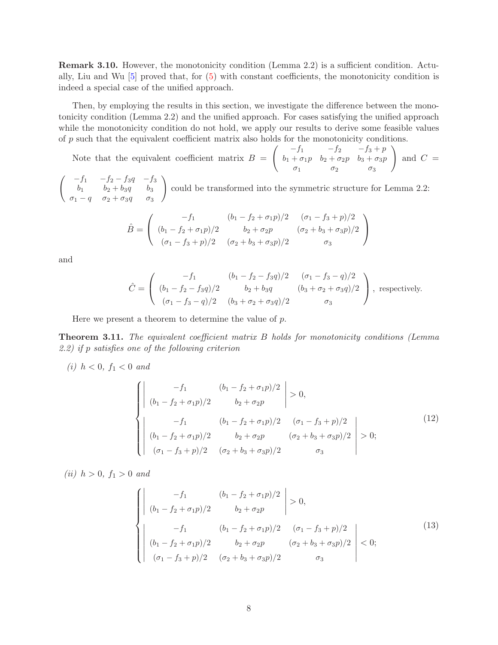Remark 3.10. However, the monotonicity condition (Lemma 2.2) is a sufficient condition. Actually, Liu and Wu [\[5\]](#page-16-8) proved that, for [\(5\)](#page-2-0) with constant coefficients, the monotonicity condition is indeed a special case of the unified approach.

Then, by employing the results in this section, we investigate the difference between the monotonicity condition (Lemma 2.2) and the unified approach. For cases satisfying the unified approach while the monotonicity condition do not hold, we apply our results to derive some feasible values of p such that the equivalent coefficient matrix also holds for the monotonicity conditions.

Note that the equivalent coefficient matrix  $B =$  $\int f_1 -f_2 -f_3 + p$  $b_1 + \sigma_1 p \quad b_2 + \sigma_2 p \quad b_3 + \sigma_3 p$  $\sigma_1$   $\sigma_2$   $\sigma_3$  $\setminus$ and  $C =$ 

 $\int -f_1 -f_2 - f_3 q -f_3$  $b_1$   $b_2 + b_3q$   $b_3$  $\sigma_1 - q$   $\sigma_2 + \sigma_3 q$   $\sigma_3$  $\setminus$ could be transformed into the symmetric structure for Lemma 2.2:

$$
\hat{B} = \begin{pmatrix}\n-f_1 & (b_1 - f_2 + \sigma_1 p)/2 & (\sigma_1 - f_3 + p)/2 \\
(b_1 - f_2 + \sigma_1 p)/2 & b_2 + \sigma_2 p & (\sigma_2 + b_3 + \sigma_3 p)/2 \\
(\sigma_1 - f_3 + p)/2 & (\sigma_2 + b_3 + \sigma_3 p)/2 & \sigma_3\n\end{pmatrix}
$$

and

$$
\hat{C} = \begin{pmatrix}\n-f_1 & (b_1 - f_2 - f_3 q)/2 & (\sigma_1 - f_3 - q)/2 \\
(b_1 - f_2 - f_3 q)/2 & b_2 + b_3 q & (b_3 + \sigma_2 + \sigma_3 q)/2 \\
(\sigma_1 - f_3 - q)/2 & (b_3 + \sigma_2 + \sigma_3 q)/2 & \sigma_3\n\end{pmatrix}, \text{ respectively.}
$$

Here we present a theorem to determine the value of  $p$ .

Theorem 3.11. The equivalent coefficient matrix B holds for monotonicity conditions (Lemma 2.2) if p satisfies one of the following criterion

(*i*)  $h < 0$ ,  $f_1 < 0$  and

<span id="page-7-0"></span>
$$
\begin{cases}\n\begin{vmatrix}\n-f_1 & (b_1 - f_2 + \sigma_1 p)/2 \\
(b_1 - f_2 + \sigma_1 p)/2 & b_2 + \sigma_2 p\n\end{vmatrix} > 0, \\
\begin{vmatrix}\n-f_1 & (b_1 - f_2 + \sigma_1 p)/2 & (\sigma_1 - f_3 + p)/2 \\
(b_1 - f_2 + \sigma_1 p)/2 & b_2 + \sigma_2 p & (\sigma_2 + b_3 + \sigma_3 p)/2 \\
(\sigma_1 - f_3 + p)/2 & (\sigma_2 + b_3 + \sigma_3 p)/2 & \sigma_3\n\end{vmatrix} > 0;\n\end{cases}
$$
\n(12)

(*ii*)  $h > 0, f_1 > 0$  and

$$
\begin{cases}\n\begin{vmatrix}\n-f_1 & (b_1 - f_2 + \sigma_1 p)/2 \\
(b_1 - f_2 + \sigma_1 p)/2 & b_2 + \sigma_2 p\n\end{vmatrix} > 0, \\
\begin{vmatrix}\n-f_1 & (b_1 - f_2 + \sigma_1 p)/2 & (\sigma_1 - f_3 + p)/2 \\
(b_1 - f_2 + \sigma_1 p)/2 & b_2 + \sigma_2 p & (\sigma_2 + b_3 + \sigma_3 p)/2 \\
(\sigma_1 - f_3 + p)/2 & (\sigma_2 + b_3 + \sigma_3 p)/2 & \sigma_3\n\end{vmatrix} < 0;\n\end{cases}
$$
\n(13)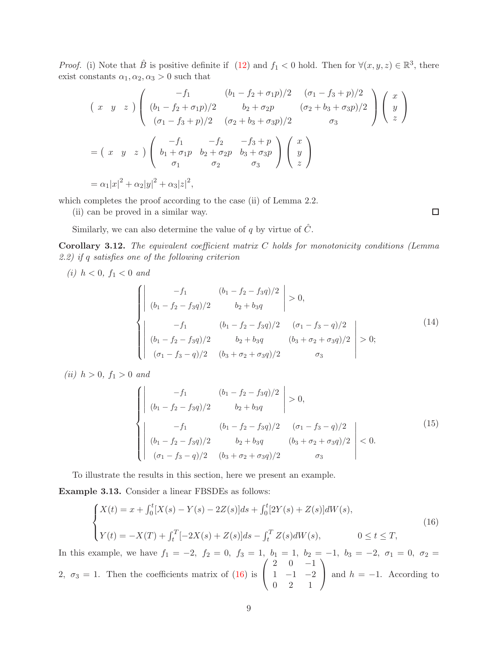*Proof.* (i) Note that  $\hat{B}$  is positive definite if [\(12\)](#page-7-0) and  $f_1 < 0$  hold. Then for  $\forall (x, y, z) \in \mathbb{R}^3$ , there exist constants  $\alpha_1, \alpha_2, \alpha_3 > 0$  such that

$$
\begin{pmatrix}\n\begin{array}{ccc}\n\begin{array}{ccc}\n\begin{array}{ccc}\n\begin{array}{ccc}\n\begin{array}{ccc}\n\begin{array}{ccc}\n\begin{array}{ccc}\n\begin{array}{ccc}\n\begin{array}{ccc}\n\begin{array}{ccc}\n\begin{array}{ccc}\n\begin{array}{ccc}\n\begin{array}{ccc}\n\begin{array}{ccc}\n\begin{array}{ccc}\n\begin{array}{ccc}\n\begin{array}{ccc}\n\begin{array}{ccc}\n\begin{array}{ccc}\n\begin{array}{ccc}\n\begin{array}{ccc}\n\begin{array}{ccc}\n\begin{array}{ccc}\n\begin{array}{ccc}\n\begin{array}{ccc}\n\begin{array}{ccc}\n\begin{array}{ccc}\n\begin{array}{ccc}\n\begin{array}{ccc}\n\begin{array}{ccc}\n\begin{array}{ccc}\n\begin{array}{ccc}\n\begin{array}{ccc}\n\end{array}{\n\end{array}}\n\end{array}\n\end{array}\n\end{array}\n\end{array}\n\end{pmatrix}\n\end{pmatrix}\n\end{pmatrix}\n\begin{array}{ccc}\n\begin{array}{ccc}\n\begin{array}{ccc}\n\begin{array}{ccc}\n\begin{array}{ccc}\n\begin{array}{ccc}\n\begin{array}{ccc}\n\begin{array}{ccc}\n\begin{array}{ccc}\n\begin{array}{ccc}\n\begin{array}{ccc}\n\begin{array}{ccc}\n\begin{array}{ccc}\n\begin{array}{ccc}\n\begin{array}{ccc}\n\begin{array}{ccc}\n\begin{array}{ccc}\n\begin{array}{ccc}\n\begin{array}{ccc}\n\begin{array}{ccc}\n\begin{array}{ccc}\n\begin{array}{ccc}\n\begin{array}{ccc}\n\begin{array}{ccc}\n\begin{array}{ccc}\n\begin{array}{ccc}\n\begin{array}{ccc}\n\begin{array}{ccc}\n\begin{array}{ccc}\n\begin{array}{ccc}\n\begin{array}{ccc}\n\begin{array}{ccc}\n\begin{array}{ccc}\n\begin{array}{ccc}\n\begin{array}{ccc}\n\begin{array}{ccc}\n\begin{array}{ccc}\n\begin{array}{ccc}\n\begin{array}{ccc}\n\begin{array}{ccc}\n\begin{array}{ccc}\n\begin{array}{ccc}\n\begin{array}{ccc}\n\begin{array}{ccc}\n\begin{array}{ccc}\n\begin{array}{ccc}\n\begin{array}{ccc}\n\begin{array}{ccc}\n\begin{array}{ccc}\n\begin{array}{ccc}\n\begin{array}{ccc}\n\begin{array}{ccc}\n\begin{array}{ccc}\n\begin{array}{ccc
$$

which completes the proof according to the case (ii) of Lemma 2.2.

(ii) can be proved in a similar way.

Similarly, we can also determine the value of q by virtue of  $\hat{C}$ .

Corollary 3.12. The equivalent coefficient matrix C holds for monotonicity conditions (Lemma 2.2) if q satisfies one of the following criterion

(i) 
$$
h < 0
$$
,  $f_1 < 0$  and  
\n
$$
\begin{cases}\n-\int_1^{t_1} \frac{(b_1 - f_2 - f_3 q)}{2} \, b_2 + b_3 q \\
(b_1 - f_2 - f_3 q)/2 & b_2 + b_3 q\n\end{cases} > 0,
$$
\n
$$
\begin{cases}\n-f_1 \qquad (b_1 - f_2 - f_3 q)/2 & (\sigma_1 - f_3 - q)/2 \\
(b_1 - f_2 - f_3 q)/2 & b_2 + b_3 q & (b_3 + \sigma_2 + \sigma_3 q)/2 \\
(\sigma_1 - f_3 - q)/2 & (b_3 + \sigma_2 + \sigma_3 q)/2 & \sigma_3\n\end{cases}
$$
\n(14)

(*ii*)  $h > 0$ ,  $f_1 > 0$  and

$$
\begin{cases}\n\begin{vmatrix}\n-f_1 & (b_1 - f_2 - f_3 q)/2 \\
(b_1 - f_2 - f_3 q)/2 & b_2 + b_3 q\n\end{vmatrix} > 0, \\
-f_1 & (b_1 - f_2 - f_3 q)/2 & (\sigma_1 - f_3 - q)/2 \\
(b_1 - f_2 - f_3 q)/2 & b_2 + b_3 q & (b_3 + \sigma_2 + \sigma_3 q)/2 \\
(\sigma_1 - f_3 - q)/2 & (b_3 + \sigma_2 + \sigma_3 q)/2 & \sigma_3\n\end{vmatrix}
$$
\n(15)

To illustrate the results in this section, here we present an example.

Example 3.13. Consider a linear FBSDEs as follows:

<span id="page-8-0"></span>
$$
\begin{cases} X(t) = x + \int_0^t [X(s) - Y(s) - 2Z(s)]ds + \int_0^t [2Y(s) + Z(s)]dW(s), \\ Y(t) = -X(T) + \int_t^T [-2X(s) + Z(s)]ds - \int_t^T Z(s)dW(s), \qquad 0 \le t \le T, \end{cases}
$$
\n(16)

In this example, we have  $f_1 = -2$ ,  $f_2 = 0$ ,  $f_3 = 1$ ,  $b_1 = 1$ ,  $b_2 = -1$ ,  $b_3 = -2$ ,  $\sigma_1 = 0$ ,  $\sigma_2 =$ 2,  $\sigma_3 = 1$ . Then the coefficients matrix of [\(16\)](#page-8-0) is  $\sqrt{ }$  $\overline{1}$  $2 \t 0 \t -1$  $1 -1 -2$ 0 2 1  $\setminus$ and  $h = -1$ . According to

 $\Box$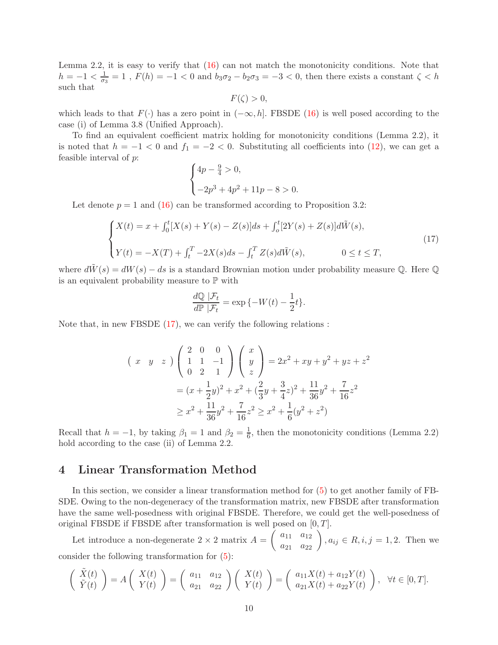Lemma 2.2, it is easy to verify that [\(16\)](#page-8-0) can not match the monotonicity conditions. Note that  $h = -1 < \frac{1}{\sigma_3} = 1$ ,  $F(h) = -1 < 0$  and  $b_3\sigma_2 - b_2\sigma_3 = -3 < 0$ , then there exists a constant  $\zeta < h$ such that

 $F(\zeta) > 0$ ,

which leads to that  $F(\cdot)$  has a zero point in  $(-\infty, h]$ . FBSDE [\(16\)](#page-8-0) is well posed according to the case (i) of Lemma 3.8 (Unified Approach).

To find an equivalent coefficient matrix holding for monotonicity conditions (Lemma 2.2), it is noted that  $h = -1 < 0$  and  $f_1 = -2 < 0$ . Substituting all coefficients into [\(12\)](#page-7-0), we can get a feasible interval of p:

$$
\begin{cases} 4p - \frac{9}{4} > 0, \\ -2p^3 + 4p^2 + 11p - 8 > 0. \end{cases}
$$

Let denote  $p = 1$  and [\(16\)](#page-8-0) can be transformed according to Proposition 3.2:

<span id="page-9-0"></span>
$$
\begin{cases} X(t) = x + \int_0^t [X(s) + Y(s) - Z(s)]ds + \int_0^t [2Y(s) + Z(s)]d\tilde{W}(s), \\ Y(t) = -X(T) + \int_t^T -2X(s)ds - \int_t^T Z(s)d\tilde{W}(s), \qquad 0 \le t \le T, \end{cases}
$$
\n(17)

where  $d\tilde{W}(s) = dW(s) - ds$  is a standard Brownian motion under probability measure Q. Here Q is an equivalent probability measure to  $\mathbb P$  with

$$
\frac{d\mathbb{Q} | \mathcal{F}_t}{d\mathbb{P} | \mathcal{F}_t} = \exp \{ -W(t) - \frac{1}{2}t \}.
$$

Note that, in new FBSDE [\(17\)](#page-9-0), we can verify the following relations :

$$
\begin{aligned}\n\left(\begin{array}{cc} x & y & z \end{array}\right) \begin{pmatrix} 2 & 0 & 0 \\ 1 & 1 & -1 \\ 0 & 2 & 1 \end{pmatrix} \begin{pmatrix} x \\ y \\ z \end{pmatrix} &= 2x^2 + xy + y^2 + yz + z^2 \\
&= (x + \frac{1}{2}y)^2 + x^2 + (\frac{2}{3}y + \frac{3}{4}z)^2 + \frac{11}{36}y^2 + \frac{7}{16}z^2 \\
&\geq x^2 + \frac{11}{36}y^2 + \frac{7}{16}z^2 \geq x^2 + \frac{1}{6}(y^2 + z^2)\n\end{aligned}
$$

Recall that  $h = -1$ , by taking  $\beta_1 = 1$  and  $\beta_2 = \frac{1}{6}$  $\frac{1}{6}$ , then the monotonicity conditions (Lemma 2.2) hold according to the case (ii) of Lemma 2.2.

### 4 Linear Transformation Method

In this section, we consider a linear transformation method for [\(5\)](#page-2-0) to get another family of FB-SDE. Owing to the non-degeneracy of the transformation matrix, new FBSDE after transformation have the same well-posedness with original FBSDE. Therefore, we could get the well-posedness of original FBSDE if FBSDE after transformation is well posed on  $[0, T]$ .

Let introduce a non-degenerate  $2 \times 2$  matrix  $A = \begin{pmatrix} a_{11} & a_{12} \\ a_{21} & a_{22} \end{pmatrix}$ ,  $a_{ij} \in R, i, j = 1, 2$ . Then we consider the following transformation for [\(5\)](#page-2-0):

$$
\begin{pmatrix}\n\tilde{X}(t) \\
\tilde{Y}(t)\n\end{pmatrix} = A \begin{pmatrix}\nX(t) \\
Y(t)\n\end{pmatrix} = \begin{pmatrix}\na_{11} & a_{12} \\
a_{21} & a_{22}\n\end{pmatrix} \begin{pmatrix}\nX(t) \\
Y(t)\n\end{pmatrix} = \begin{pmatrix}\na_{11}X(t) + a_{12}Y(t) \\
a_{21}X(t) + a_{22}Y(t)\n\end{pmatrix}, \forall t \in [0, T].
$$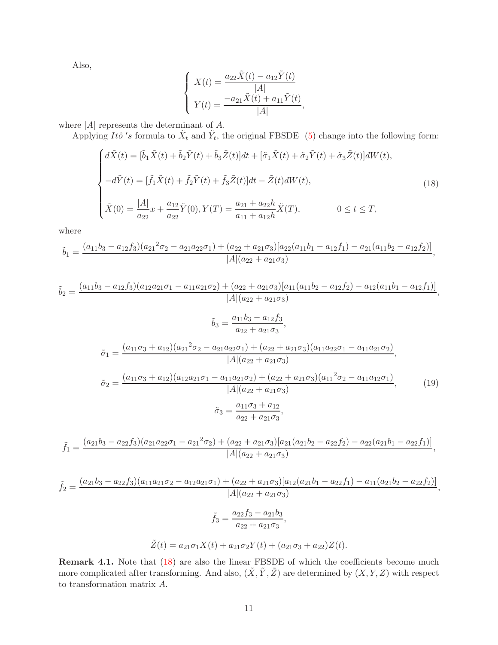Also,

$$
\begin{cases}\nX(t) = \frac{a_{22}\tilde{X}(t) - a_{12}\tilde{Y}(t)}{|A|} \\
Y(t) = \frac{-a_{21}\tilde{X}(t) + a_{11}\tilde{Y}(t)}{|A|},\n\end{cases}
$$

where  $|A|$  represents the determinant of  $A$ .

Applying Itô's formula to  $\tilde{X}_t$  and  $\tilde{Y}_t$ , the original FBSDE [\(5\)](#page-2-0) change into the following form:

<span id="page-10-0"></span>
$$
\begin{cases}\n d\tilde{X}(t) = [\tilde{b}_1 \tilde{X}(t) + \tilde{b}_2 \tilde{Y}(t) + \tilde{b}_3 \tilde{Z}(t)]dt + [\tilde{\sigma}_1 \tilde{X}(t) + \tilde{\sigma}_2 \tilde{Y}(t) + \tilde{\sigma}_3 \tilde{Z}(t)]dW(t), \\
-d\tilde{Y}(t) = [\tilde{f}_1 \tilde{X}(t) + \tilde{f}_2 \tilde{Y}(t) + \tilde{f}_3 \tilde{Z}(t)]dt - \tilde{Z}(t)dW(t), \\
\tilde{X}(0) = \frac{|A|}{a_{22}}x + \frac{a_{12}}{a_{22}}\tilde{Y}(0), Y(T) = \frac{a_{21} + a_{22}h}{a_{11} + a_{12}h}\tilde{X}(T), \qquad 0 \le t \le T,\n\end{cases}
$$
\n(18)

where

$$
\tilde{b}_1 = \frac{(a_{11}b_3 - a_{12}f_3)(a_{21}^2\sigma_2 - a_{21}a_{22}\sigma_1) + (a_{22} + a_{21}\sigma_3)[a_{22}(a_{11}b_1 - a_{12}f_1) - a_{21}(a_{11}b_2 - a_{12}f_2)]}{|A|(a_{22} + a_{21}\sigma_3)},
$$

$$
\tilde{b}_2 = \frac{(a_{11}b_3 - a_{12}f_3)(a_{12}a_{21}\sigma_1 - a_{11}a_{21}\sigma_2) + (a_{22} + a_{21}\sigma_3)[a_{11}(a_{11}b_2 - a_{12}f_2) - a_{12}(a_{11}b_1 - a_{12}f_1)]}{|A|(a_{22} + a_{21}\sigma_3)},
$$
\n
$$
\tilde{b}_3 = \frac{a_{11}b_3 - a_{12}f_3}{a_{22} + a_{21}\sigma_3},
$$
\n
$$
\tilde{\sigma}_1 = \frac{(a_{11}\sigma_3 + a_{12})(a_{21}^2\sigma_2 - a_{21}a_{22}\sigma_1) + (a_{22} + a_{21}\sigma_3)(a_{11}a_{22}\sigma_1 - a_{11}a_{21}\sigma_2)}{|A|(a_{22} + a_{21}\sigma_3)},
$$
\n
$$
\tilde{\sigma}_2 = \frac{(a_{11}\sigma_3 + a_{12})(a_{12}a_{21}\sigma_1 - a_{11}a_{21}\sigma_2) + (a_{22} + a_{21}\sigma_3)(a_{11}^2\sigma_2 - a_{11}a_{12}\sigma_1)}{|A|(a_{22} + a_{21}\sigma_3)},
$$
\n
$$
\tilde{\sigma}_3 = \frac{a_{11}\sigma_3 + a_{12}}{a_{22} + a_{21}\sigma_3},
$$
\n(19)

<span id="page-10-1"></span>
$$
\tilde{f}_1 = \frac{(a_{21}b_3 - a_{22}f_3)(a_{21}a_{22}\sigma_1 - a_{21}^2\sigma_2) + (a_{22} + a_{21}\sigma_3)[a_{21}(a_{21}b_2 - a_{22}f_2) - a_{22}(a_{21}b_1 - a_{22}f_1)]}{|A|(a_{22} + a_{21}\sigma_3)},
$$

$$
\tilde{f}_2 = \frac{(a_{21}b_3 - a_{22}f_3)(a_{11}a_{21}\sigma_2 - a_{12}a_{21}\sigma_1) + (a_{22} + a_{21}\sigma_3)[a_{12}(a_{21}b_1 - a_{22}f_1) - a_{11}(a_{21}b_2 - a_{22}f_2)]}{|A|(a_{22} + a_{21}\sigma_3)},
$$

$$
\tilde{f}_3 = \frac{a_{22}f_3 - a_{21}b_3}{a_{22} + a_{21}\sigma_3},
$$

$$
\tilde{Z}(t) = a_{21}\sigma_1 X(t) + a_{21}\sigma_2 Y(t) + (a_{21}\sigma_3 + a_{22})Z(t).
$$

Remark 4.1. Note that  $(18)$  are also the linear FBSDE of which the coefficients become much more complicated after transforming. And also,  $(\tilde{X}, \tilde{Y}, \tilde{Z})$  are determined by  $(X, Y, Z)$  with respect to transformation matrix A.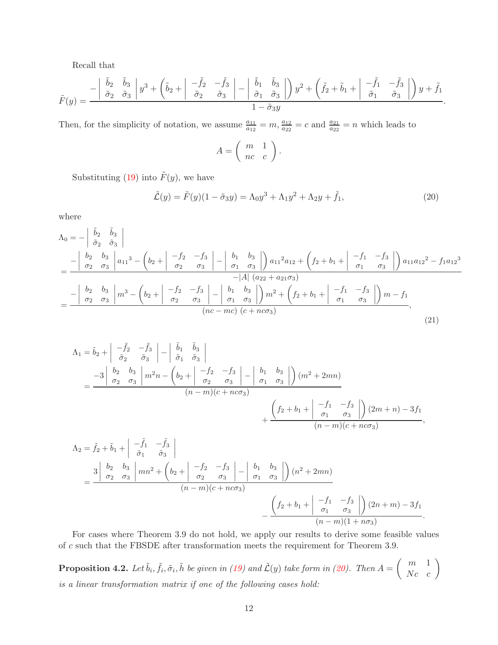Recall that

$$
\tilde{F}(y) = \frac{-\begin{vmatrix} \tilde{b}_2 & \tilde{b}_3 \\ \tilde{\sigma}_2 & \tilde{\sigma}_3 \end{vmatrix} y^3 + \left( \tilde{b}_2 + \begin{vmatrix} -\tilde{f}_2 & -\tilde{f}_3 \\ \tilde{\sigma}_2 & \tilde{\sigma}_3 \end{vmatrix} - \begin{vmatrix} \tilde{b}_1 & \tilde{b}_3 \\ \tilde{\sigma}_1 & \tilde{\sigma}_3 \end{vmatrix} \right) y^2 + \left( \tilde{f}_2 + \tilde{b}_1 + \begin{vmatrix} -\tilde{f}_1 & -\tilde{f}_3 \\ \tilde{\sigma}_1 & \tilde{\sigma}_3 \end{vmatrix} \right) y + \tilde{f}_1}{1 - \tilde{\sigma}_3 y}
$$

Then, for the simplicity of notation, we assume  $\frac{a_{11}}{a_{12}} = m$ ,  $\frac{a_{12}}{a_{22}} = c$  and  $\frac{a_{21}}{a_{22}} = n$  which leads to

$$
A = \left(\begin{array}{cc} m & 1 \\ nc & c \end{array}\right).
$$

Substituting [\(19\)](#page-10-1) into  $\tilde{F}(y)$ , we have

<span id="page-11-0"></span>
$$
\tilde{\mathcal{L}}(y) = \tilde{F}(y)(1 - \tilde{\sigma}_3 y) = \Lambda_0 y^3 + \Lambda_1 y^2 + \Lambda_2 y + \tilde{f}_1,
$$
\n(20)

.

where

$$
\Lambda_{0} = -\begin{vmatrix} \tilde{b}_{2} & \tilde{b}_{3} \\ \tilde{\sigma}_{2} & \tilde{\sigma}_{3} \end{vmatrix}
$$
  
= 
$$
\frac{-\begin{vmatrix} b_{2} & b_{3} \\ \sigma_{2} & \sigma_{3} \end{vmatrix} a_{11}^{3} - \begin{vmatrix} b_{2} + \begin{vmatrix} -f_{2} & -f_{3} \\ \sigma_{2} & \sigma_{3} \end{vmatrix} - \begin{vmatrix} b_{1} & b_{3} \\ \sigma_{1} & \sigma_{3} \end{vmatrix} a_{11}^{2} a_{12} + \begin{vmatrix} f_{2} + b_{1} + \begin{vmatrix} -f_{1} & -f_{3} \\ \sigma_{1} & \sigma_{3} \end{vmatrix} a_{11} a_{12}^{2} - f_{1} a_{12}^{3} - \begin{vmatrix} -|A| & (a_{22} + a_{21}\sigma_{3}) \\ -|A| & (a_{22} + a_{21}\sigma_{3}) \end{vmatrix}
$$
  
= 
$$
\frac{-\begin{vmatrix} b_{2} & b_{3} \\ \sigma_{2} & \sigma_{3} \end{vmatrix} m^{3} - \begin{vmatrix} b_{2} + \begin{vmatrix} -f_{2} & -f_{3} \\ \sigma_{2} & \sigma_{3} \end{vmatrix} - \begin{vmatrix} b_{1} & b_{3} \\ \sigma_{1} & \sigma_{3} \end{vmatrix} m^{2} + \begin{vmatrix} f_{2} + b_{1} + \begin{vmatrix} -f_{1} & -f_{3} \\ \sigma_{1} & \sigma_{3} \end{vmatrix} m - f_{1}}{n(n-mc)(c + n\sigma_{3})},
$$
(21)

$$
\Lambda_{1} = \tilde{b}_{2} + \begin{vmatrix} -\tilde{f}_{2} & -\tilde{f}_{3} \\ \tilde{\sigma}_{2} & \tilde{\sigma}_{3} \end{vmatrix} - \begin{vmatrix} \tilde{b}_{1} & \tilde{b}_{3} \\ \tilde{\sigma}_{1} & \tilde{\sigma}_{3} \end{vmatrix}
$$
  
= 
$$
\frac{-3 \begin{vmatrix} b_{2} & b_{3} \\ \sigma_{2} & \sigma_{3} \end{vmatrix} m^{2}n - \begin{vmatrix} b_{2} + \begin{vmatrix} -f_{2} & -f_{3} \\ \sigma_{2} & \sigma_{3} \end{vmatrix} - \begin{vmatrix} b_{1} & b_{3} \\ \sigma_{1} & \sigma_{3} \end{vmatrix} (m^{2} + 2mn) + \frac{\begin{vmatrix} f_{2} + b_{1} + \begin{vmatrix} -f_{1} & -f_{3} \\ \sigma_{1} & \sigma_{3} \end{vmatrix} (2m + n) - 3f_{1} + \begin{vmatrix} f_{3} + \begin{vmatrix} f_{2} + b_{1} + \begin{vmatrix} -f_{1} & -f_{3} \\ \sigma_{1} & \sigma_{3} \end{vmatrix} (2m + n) - 3f_{1} + \begin{vmatrix} f_{3} + \begin{vmatrix} f_{3} + \begin{vmatrix} -f_{3} + \begin{vmatrix} -f_{3} + \begin{vmatrix} -f_{3} + \end{vmatrix} - \frac{f_{3} - f_{3} + \begin{vmatrix} -f_{3} + \begin{vmatrix} -f_{3} + \begin{vmatrix} -f_{3} + \end{vmatrix} - \frac{f_{3} - f_{3} - f_{3} + \end{vmatrix}}{2m - m}}{2m} + \frac{\begin{vmatrix} f_{2} + b_{1} + \begin{vmatrix} -f_{2} + \begin{vmatrix} -f_{3} + \begin{vmatrix} -f_{3} + \begin{vmatrix} -f_{3} + \end{vmatrix} - \frac{f_{3} - f_{3} - f_{3} + \end{vmatrix} (2n + m) - 3f_{1} + \begin{vmatrix} f_{3} + \begin{vmatrix} -f_{3} + \begin{vmatrix} -f_{3} + \begin{vmatrix} -f_{3} + \end{vmatrix} - \frac{f_{3} - f_{3} - f_{3} - f_{3} + \end{vmatrix}}{2m - m} + \frac{\begin{
$$

For cases where Theorem 3.9 do not hold, we apply our results to derive some feasible values of c such that the FBSDE after transformation meets the requirement for Theorem 3.9.

**Proposition 4.2.** Let  $\tilde{b}_i$ ,  $\tilde{f}_i$ ,  $\tilde{\sigma}_i$ ,  $\tilde{h}$  be given in [\(19\)](#page-10-1) and  $\tilde{\mathcal{L}}(y)$  take form in [\(20\)](#page-11-0). Then  $A = \begin{pmatrix} m & 1 \ Nc & c \end{pmatrix}$ is a linear transformation matrix if one of the following cases hold: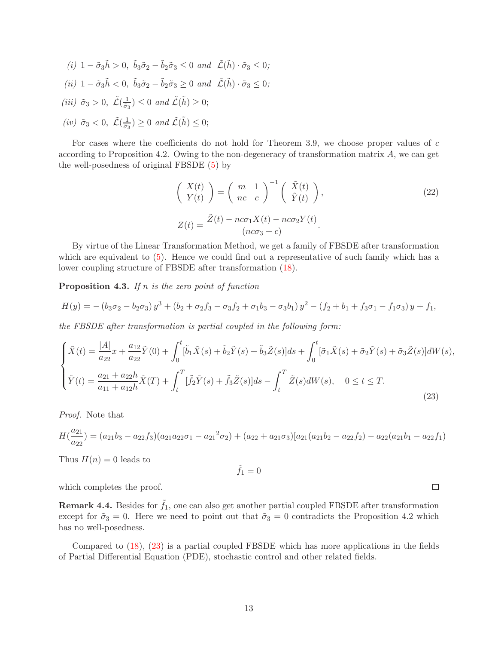(i)  $1 - \tilde{\sigma}_3 \tilde{h} > 0$ ,  $\tilde{b}_3 \tilde{\sigma}_2 - \tilde{b}_2 \tilde{\sigma}_3 \leq 0$  and  $\tilde{\mathcal{L}}(\tilde{h}) \cdot \tilde{\sigma}_3 \leq 0$ ; (ii)  $1 - \tilde{\sigma}_3 \tilde{h} < 0$ ,  $\tilde{b}_3 \tilde{\sigma}_2 - \tilde{b}_2 \tilde{\sigma}_3 \geq 0$  and  $\tilde{\mathcal{L}}(\tilde{h}) \cdot \tilde{\sigma}_3 \leq 0$ ; (iii)  $\tilde{\sigma}_3 > 0$ ,  $\tilde{\mathcal{L}}(\frac{1}{\tilde{\sigma}_3}) \leq 0$  and  $\tilde{\mathcal{L}}(\tilde{h}) \geq 0$ ; (iv)  $\tilde{\sigma}_3 < 0$ ,  $\tilde{\mathcal{L}}(\frac{1}{\tilde{\sigma}_3}) \geq 0$  and  $\tilde{\mathcal{L}}(\tilde{h}) \leq 0$ ;

For cases where the coefficients do not hold for Theorem 3.9, we choose proper values of c according to Proposition 4.2. Owing to the non-degeneracy of transformation matrix A, we can get the well-posedness of original FBSDE [\(5\)](#page-2-0) by

$$
\begin{pmatrix}\nX(t) \\
Y(t)\n\end{pmatrix} = \begin{pmatrix}\nm & 1 \\
nc & c\n\end{pmatrix}^{-1} \begin{pmatrix}\n\tilde{X}(t) \\
\tilde{Y}(t)\n\end{pmatrix},
$$
\n
$$
Z(t) = \frac{\tilde{Z}(t) - nc\sigma_1 X(t) - nc\sigma_2 Y(t)}{(nc\sigma_3 + c)}.
$$
\n(22)

By virtue of the Linear Transformation Method, we get a family of FBSDE after transformation which are equivalent to [\(5\)](#page-2-0). Hence we could find out a representative of such family which has a lower coupling structure of FBSDE after transformation [\(18\)](#page-10-0).

**Proposition 4.3.** If n is the zero point of function

$$
H(y) = -(b_3\sigma_2 - b_2\sigma_3)y^3 + (b_2 + \sigma_2f_3 - \sigma_3f_2 + \sigma_1b_3 - \sigma_3b_1)y^2 - (f_2 + b_1 + f_3\sigma_1 - f_1\sigma_3)y + f_1,
$$

the FBSDE after transformation is partial coupled in the following form:

<span id="page-12-0"></span>
$$
\begin{cases}\n\tilde{X}(t) = \frac{|A|}{a_{22}}x + \frac{a_{12}}{a_{22}}\tilde{Y}(0) + \int_0^t [\tilde{b}_1\tilde{X}(s) + \tilde{b}_2\tilde{Y}(s) + \tilde{b}_3\tilde{Z}(s)]ds + \int_0^t [\tilde{\sigma}_1\tilde{X}(s) + \tilde{\sigma}_2\tilde{Y}(s) + \tilde{\sigma}_3\tilde{Z}(s)]dW(s), \\
\tilde{Y}(t) = \frac{a_{21} + a_{22}h}{a_{11} + a_{12}h}\tilde{X}(T) + \int_t^T [\tilde{f}_2\tilde{Y}(s) + \tilde{f}_3\tilde{Z}(s)]ds - \int_t^T \tilde{Z}(s)dW(s), \quad 0 \le t \le T.\n\end{cases}
$$
\n(23)

Proof. Note that

$$
H(\frac{a_{21}}{a_{22}}) = (a_{21}b_3 - a_{22}f_3)(a_{21}a_{22}\sigma_1 - a_{21}^2\sigma_2) + (a_{22} + a_{21}\sigma_3)[a_{21}(a_{21}b_2 - a_{22}f_2) - a_{22}(a_{21}b_1 - a_{22}f_1)
$$

Thus  $H(n) = 0$  leads to

$$
\tilde{f}_1=0
$$

which completes the proof.

**Remark 4.4.** Besides for  $\tilde{f}_1$ , one can also get another partial coupled FBSDE after transformation except for  $\tilde{\sigma}_3 = 0$ . Here we need to point out that  $\tilde{\sigma}_3 = 0$  contradicts the Proposition 4.2 which has no well-posedness.

Compared to [\(18\)](#page-10-0), [\(23\)](#page-12-0) is a partial coupled FBSDE which has more applications in the fields of Partial Differential Equation (PDE), stochastic control and other related fields.

 $\Box$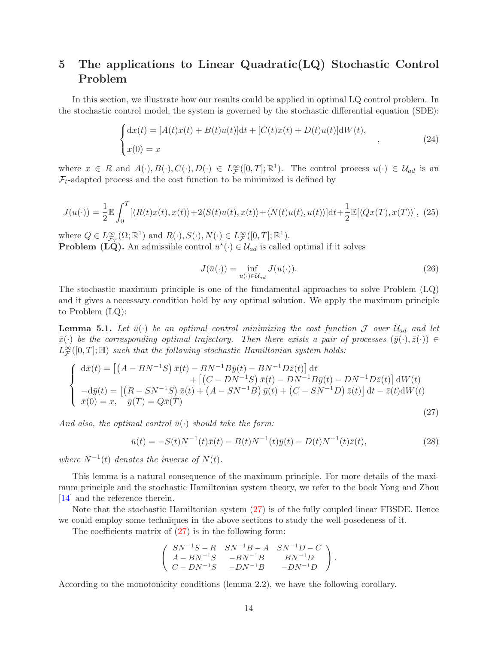# 5 The applications to Linear Quadratic(LQ) Stochastic Control Problem

In this section, we illustrate how our results could be applied in optimal LQ control problem. In the stochastic control model, the system is governed by the stochastic differential equation (SDE):

$$
\begin{cases} dx(t) = [A(t)x(t) + B(t)u(t)]dt + [C(t)x(t) + D(t)u(t)]dW(t), \\ x(0) = x \end{cases}
$$
 (24)

where  $x \in R$  and  $A(\cdot), B(\cdot), C(\cdot), D(\cdot) \in L^{\infty}_{\mathcal{F}}([0,T]; \mathbb{R}^{1})$ . The control process  $u(\cdot) \in \mathcal{U}_{ad}$  is an  $\mathcal{F}_t$ -adapted process and the cost function to be minimized is defined by

$$
J(u(\cdot)) = \frac{1}{2} \mathbb{E} \int_0^T [\langle R(t)x(t), x(t) \rangle + 2\langle S(t)u(t), x(t) \rangle + \langle N(t)u(t), u(t) \rangle] dt + \frac{1}{2} \mathbb{E} [\langle Qx(T), x(T) \rangle], \tag{25}
$$

where  $Q \in L^{\infty}_{\mathcal{F}_T}(\Omega;\mathbb{R}^1)$  and  $R(\cdot), S(\cdot), N(\cdot) \in L^{\infty}_{\mathcal{F}}([0,T];\mathbb{R}^1)$ . **Problem (LQ).** An admissible control  $u^*(\cdot) \in \mathcal{U}_{ad}$  is called optimal if it solves

$$
J(\bar{u}(\cdot)) = \inf_{u(\cdot) \in \mathcal{U}_{ad}} J(u(\cdot)).
$$
\n(26)

The stochastic maximum principle is one of the fundamental approaches to solve Problem (LQ) and it gives a necessary condition hold by any optimal solution. We apply the maximum principle to Problem (LQ):

**Lemma 5.1.** Let  $\bar{u}(\cdot)$  be an optimal control minimizing the cost function  $\mathcal{J}$  over  $\mathcal{U}_{ad}$  and let  $\bar{x}(\cdot)$  be the corresponding optimal trajectory. Then there exists a pair of processes  $(\bar{y}(\cdot), \bar{z}(\cdot)) \in$  $L^{\infty}_{\mathcal{F}}([0,T];\mathbb{H})$  such that the following stochastic Hamiltonian system holds:

<span id="page-13-0"></span>
$$
\begin{cases}\n\mathrm{d}\bar{x}(t) = \left[ (A - BN^{-1}S)\,\bar{x}(t) - BN^{-1}B\bar{y}(t) - BN^{-1}D\bar{z}(t) \right] \mathrm{d}t \\
+ \left[ (C - DN^{-1}S)\,\bar{x}(t) - DN^{-1}B\bar{y}(t) - DN^{-1}D\bar{z}(t) \right] \mathrm{d}W(t) \\
-\mathrm{d}\bar{y}(t) = \left[ (R - SN^{-1}S)\,\bar{x}(t) + (A - SN^{-1}B)\,\bar{y}(t) + (C - SN^{-1}D)\,\bar{z}(t) \right] \mathrm{d}t - \bar{z}(t) \mathrm{d}W(t) \\
\bar{x}(0) = x, \quad \bar{y}(T) = Q\bar{x}(T)\n\end{cases}
$$
\n(27)

And also, the optimal control  $\bar{u}(\cdot)$  should take the form:

$$
\bar{u}(t) = -S(t)N^{-1}(t)\bar{x}(t) - B(t)N^{-1}(t)\bar{y}(t) - D(t)N^{-1}(t)\bar{z}(t),
$$
\n(28)

where  $N^{-1}(t)$  denotes the inverse of  $N(t)$ .

This lemma is a natural consequence of the maximum principle. For more details of the maximum principle and the stochastic Hamiltonian system theory, we refer to the book Yong and Zhou [\[14\]](#page-17-1) and the reference therein.

Note that the stochastic Hamiltonian system [\(27\)](#page-13-0) is of the fully coupled linear FBSDE. Hence we could employ some techniques in the above sections to study the well-posedeness of it.

The coefficients matrix of  $(27)$  is in the following form:

$$
\left(\begin{array}{ccc}SN^{-1}S-R & SN^{-1}B-A & SN^{-1}D-C \\ A-BN^{-1}S & -BN^{-1}B & BN^{-1}D \\ C-DN^{-1}S & -DN^{-1}B & -DN^{-1}D \end{array}\right).
$$

According to the monotonicity conditions (lemma 2.2), we have the following corollary.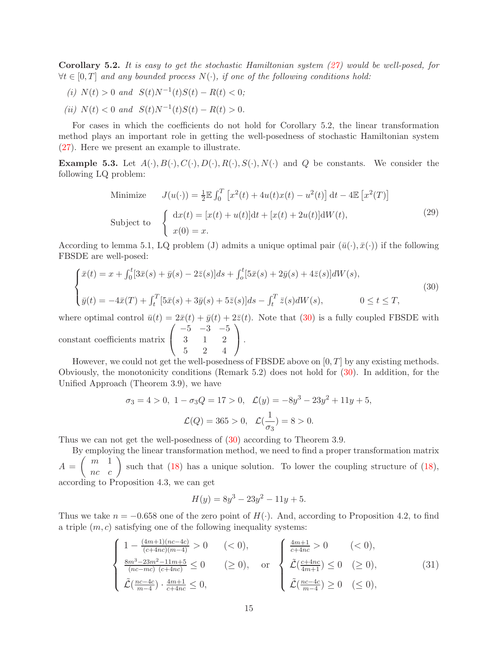Corollary 5.2. It is easy to get the stochastic Hamiltonian system [\(27\)](#page-13-0) would be well-posed, for  $\forall t \in [0,T]$  and any bounded process  $N(\cdot)$ , if one of the following conditions hold:

- (i)  $N(t) > 0$  and  $S(t)N^{-1}(t)S(t) R(t) < 0;$
- (ii)  $N(t) < 0$  and  $S(t)N^{-1}(t)S(t) R(t) > 0$ .

For cases in which the coefficients do not hold for Corollary 5.2, the linear transformation method plays an important role in getting the well-posedness of stochastic Hamiltonian system [\(27\)](#page-13-0). Here we present an example to illustrate.

**Example 5.3.** Let  $A(\cdot), B(\cdot), C(\cdot), D(\cdot), R(\cdot), S(\cdot), N(\cdot)$  and Q be constants. We consider the following LQ problem:

<span id="page-14-2"></span>Minimize 
$$
J(u(\cdot)) = \frac{1}{2} \mathbb{E} \int_0^T \left[ x^2(t) + 4u(t)x(t) - u^2(t) \right] dt - 4 \mathbb{E} \left[ x^2(T) \right]
$$
  
Subject to 
$$
\begin{cases} dx(t) = [x(t) + u(t)]dt + [x(t) + 2u(t)]dW(t), \\ x(0) = x. \end{cases}
$$
 (29)

According to lemma 5.1, LQ problem (J) admits a unique optimal pair  $(\bar{u}(\cdot), \bar{x}(\cdot))$  if the following FBSDE are well-posed:

<span id="page-14-0"></span>
$$
\begin{cases} \bar{x}(t) = x + \int_0^t [3\bar{x}(s) + \bar{y}(s) - 2\bar{z}(s)]ds + \int_0^t [5\bar{x}(s) + 2\bar{y}(s) + 4\bar{z}(s)]dW(s), \\ \bar{y}(t) = -4\bar{x}(T) + \int_t^T [5\bar{x}(s) + 3\bar{y}(s) + 5\bar{z}(s)]ds - \int_t^T \bar{z}(s)dW(s), \qquad 0 \le t \le T, \end{cases}
$$
\n(30)

where optimal control  $\bar{u}(t) = 2\bar{x}(t) + \bar{y}(t) + 2\bar{z}(t)$ . Note that [\(30\)](#page-14-0) is a fully coupled FBSDE with  $\sqrt{ }$  $-5$   $-3$   $-5$  $\setminus$ 

constant coefficients matrix  $\mathcal{L}$ 3 1 2 5 2 4  $\vert \cdot$ 

However, we could not get the well-posedness of FBSDE above on  $[0, T]$  by any existing methods. Obviously, the monotonicity conditions (Remark 5.2) does not hold for [\(30\)](#page-14-0). In addition, for the Unified Approach (Theorem 3.9), we have

$$
\sigma_3 = 4 > 0, \ 1 - \sigma_3 Q = 17 > 0, \ \mathcal{L}(y) = -8y^3 - 23y^2 + 11y + 5,
$$
  

$$
\mathcal{L}(Q) = 365 > 0, \ \mathcal{L}(\frac{1}{\sigma_3}) = 8 > 0.
$$

Thus we can not get the well-posedness of [\(30\)](#page-14-0) according to Theorem 3.9.

By employing the linear transformation method, we need to find a proper transformation matrix  $A = \begin{pmatrix} m & 1 \\ nc & c \end{pmatrix}$  such that [\(18\)](#page-10-0) has a unique solution. To lower the coupling structure of (18), according to Proposition 4.3, we can get

$$
H(y) = 8y^3 - 23y^2 - 11y + 5.
$$

Thus we take  $n = -0.658$  one of the zero point of  $H(\cdot)$ . And, according to Proposition 4.2, to find a triple  $(m, c)$  satisfying one of the following inequality systems:

<span id="page-14-1"></span>
$$
\begin{cases}\n1 - \frac{(4m+1)(nc-4c)}{(c+4nc)(m-4)} > 0 < 0, \\
\frac{8m^3 - 23m^2 - 11m + 5}{(nc - mc)(c + 4nc)} \le 0 < 0, \\
\tilde{\mathcal{L}}\left(\frac{nc - 4c}{m-4}\right) \cdot \frac{4m+1}{c + 4nc} \le 0, < 0, \\
\tilde{\mathcal{L}}\left(\frac{nc - 4c}{m-4}\right) \ge 0 < 0, \\
\tilde{\mathcal{L}}\left(\frac{nc - 4c}{m-4}\right) \ge 0 < 0, \\
\tilde{\mathcal{L}}\left(\frac{nc - 4c}{m-4}\right) \ge 0 < 0, \\
0, < 0, \\
0, < 0, \n\end{cases} \tag{31}
$$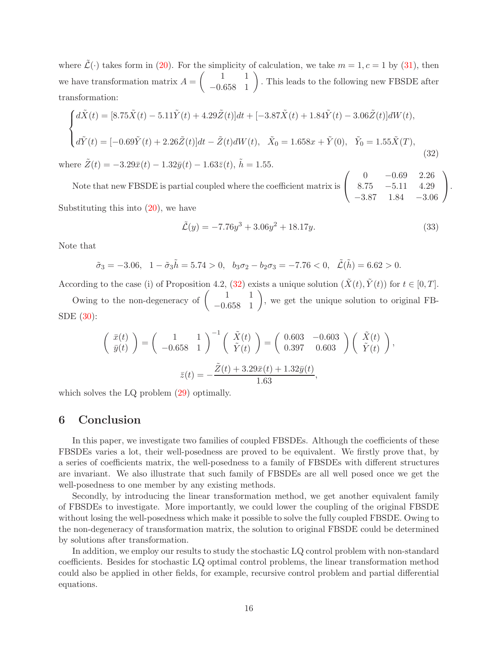where  $\tilde{\mathcal{L}}(\cdot)$  takes form in [\(20\)](#page-11-0). For the simplicity of calculation, we take  $m = 1, c = 1$  by [\(31\)](#page-14-1), then we have transformation matrix  $A = \begin{pmatrix} 1 & 1 \\ -0.658 & 1 \end{pmatrix}$ . This leads to the following new FBSDE after transformation:

<span id="page-15-0"></span>
$$
\begin{cases}\n d\tilde{X}(t) = [8.75\tilde{X}(t) - 5.11\tilde{Y}(t) + 4.29\tilde{Z}(t)]dt + [-3.87\tilde{X}(t) + 1.84\tilde{Y}(t) - 3.06\tilde{Z}(t)]dW(t), \\
 d\tilde{Y}(t) = [-0.69\tilde{Y}(t) + 2.26\tilde{Z}(t)]dt - \tilde{Z}(t)dW(t), \quad \tilde{X}_0 = 1.658x + \tilde{Y}(0), \quad \tilde{Y}_0 = 1.55\tilde{X}(T), \\
 \text{where } \tilde{Z}(t) = -3.29\tilde{x}(t) - 1.32\tilde{y}(t) - 1.63\tilde{z}(t), \quad \tilde{h} = 1.55.\n\end{cases} (32)
$$

Note that new FBSDE is partial coupled where the coefficient matrix is  $\sqrt{ }$  $\mathcal{L}$ 0 −0.69 2.26 8.75 −5.11 4.29  $-3.87$  1.84  $-3.06$  $\setminus$  $\cdot$ Substituting this into [\(20\)](#page-11-0), we have

$$
\tilde{\mathcal{L}}(y) = -7.76y^3 + 3.06y^2 + 18.17y.\tag{33}
$$

Note that

$$
\tilde{\sigma}_3 = -3.06, \quad 1 - \tilde{\sigma}_3 \tilde{h} = 5.74 > 0, \quad b_3 \sigma_2 - b_2 \sigma_3 = -7.76 < 0, \quad \tilde{\mathcal{L}}(\tilde{h}) = 6.62 > 0.
$$

According to the case (i) of Proposition 4.2, [\(32\)](#page-15-0) exists a unique solution  $(\tilde{X}(t), \tilde{Y}(t))$  for  $t \in [0, T]$ .

Owing to the non-degeneracy of  $\begin{pmatrix} 1 & 1 \\ -0.658 & 1 \end{pmatrix}$ , we get the unique solution to original FB-SDE [\(30\)](#page-14-0):

$$
\begin{pmatrix} \bar{x}(t) \\ \bar{y}(t) \end{pmatrix} = \begin{pmatrix} 1 & 1 \\ -0.658 & 1 \end{pmatrix}^{-1} \begin{pmatrix} \tilde{X}(t) \\ \tilde{Y}(t) \end{pmatrix} = \begin{pmatrix} 0.603 & -0.603 \\ 0.397 & 0.603 \end{pmatrix} \begin{pmatrix} \tilde{X}(t) \\ \tilde{Y}(t) \end{pmatrix},
$$

$$
\bar{z}(t) = -\frac{\tilde{Z}(t) + 3.29\bar{x}(t) + 1.32\bar{y}(t)}{1.63},
$$

which solves the LQ problem  $(29)$  optimally.

### 6 Conclusion

In this paper, we investigate two families of coupled FBSDEs. Although the coefficients of these FBSDEs varies a lot, their well-posedness are proved to be equivalent. We firstly prove that, by a series of coefficients matrix, the well-posedness to a family of FBSDEs with different structures are invariant. We also illustrate that such family of FBSDEs are all well posed once we get the well-posedness to one member by any existing methods.

Secondly, by introducing the linear transformation method, we get another equivalent family of FBSDEs to investigate. More importantly, we could lower the coupling of the original FBSDE without losing the well-posedness which make it possible to solve the fully coupled FBSDE. Owing to the non-degeneracy of transformation matrix, the solution to original FBSDE could be determined by solutions after transformation.

In addition, we employ our results to study the stochastic LQ control problem with non-standard coefficients. Besides for stochastic LQ optimal control problems, the linear transformation method could also be applied in other fields, for example, recursive control problem and partial differential equations.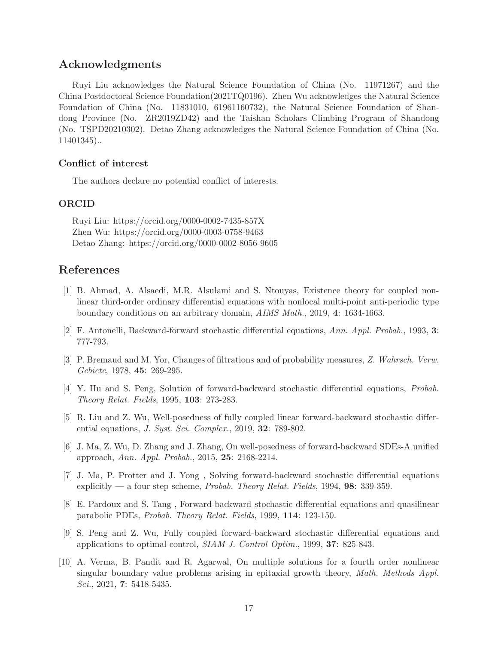### Acknowledgments

Ruyi Liu acknowledges the Natural Science Foundation of China (No. 11971267) and the China Postdoctoral Science Foundation(2021TQ0196). Zhen Wu acknowledges the Natural Science Foundation of China (No. 11831010, 61961160732), the Natural Science Foundation of Shandong Province (No. ZR2019ZD42) and the Taishan Scholars Climbing Program of Shandong (No. TSPD20210302). Detao Zhang acknowledges the Natural Science Foundation of China (No. 11401345)..

#### Conflict of interest

The authors declare no potential conflict of interests.

#### ORCID

Ruyi Liu: https://orcid.org/0000-0002-7435-857X Zhen Wu: https://orcid.org/0000-0003-0758-9463 Detao Zhang: https://orcid.org/0000-0002-8056-9605

### References

- <span id="page-16-6"></span>[1] B. Ahmad, A. Alsaedi, M.R. Alsulami and S. Ntouyas, Existence theory for coupled nonlinear third-order ordinary differential equations with nonlocal multi-point anti-periodic type boundary conditions on an arbitrary domain, AIMS Math., 2019, 4: 1634-1663.
- <span id="page-16-0"></span>[2] F. Antonelli, Backward-forward stochastic differential equations, Ann. Appl. Probab., 1993, 3: 777-793.
- [3] P. Bremaud and M. Yor, Changes of filtrations and of probability measures, Z. Wahrsch. Verw. Gebiete, 1978, 45: 269-295.
- <span id="page-16-3"></span>[4] Y. Hu and S. Peng, Solution of forward-backward stochastic differential equations, Probab. Theory Relat. Fields, 1995, 103: 273-283.
- <span id="page-16-8"></span>[5] R. Liu and Z. Wu, Well-posedness of fully coupled linear forward-backward stochastic differential equations, *J. Syst. Sci. Complex.*, 2019, **32**: 789-802.
- <span id="page-16-5"></span>[6] J. Ma, Z. Wu, D. Zhang and J. Zhang, On well-posedness of forward-backward SDEs-A unified approach, Ann. Appl. Probab., 2015, 25: 2168-2214.
- <span id="page-16-2"></span>[7] J. Ma, P. Protter and J. Yong , Solving forward-backward stochastic differential equations explicitly — a four step scheme, *Probab. Theory Relat. Fields*,  $1994$ , **98**: 339-359.
- <span id="page-16-1"></span>[8] E. Pardoux and S. Tang , Forward-backward stochastic differential equations and quasilinear parabolic PDEs, Probab. Theory Relat. Fields, 1999, 114: 123-150.
- <span id="page-16-4"></span>[9] S. Peng and Z. Wu, Fully coupled forward-backward stochastic differential equations and applications to optimal control, SIAM J. Control Optim., 1999, 37: 825-843.
- <span id="page-16-7"></span>[10] A. Verma, B. Pandit and R. Agarwal, On multiple solutions for a fourth order nonlinear singular boundary value problems arising in epitaxial growth theory, Math. Methods Appl. Sci., 2021, 7: 5418-5435.